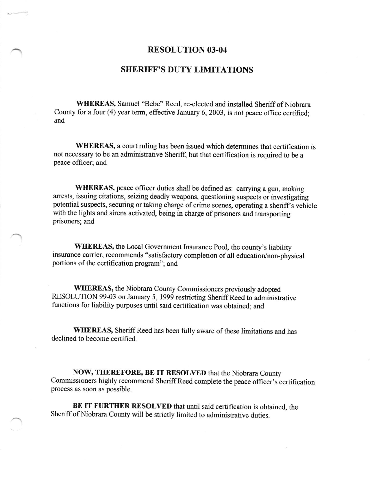## RESOLUTION 03-04

## **SHERIFF'S DUTY LIMITATIONS**

WEEREAS, Samuel "Bebe" Reed, re-elected and installed Sheriff of Niobrara County for a four (4) year term, effective January 6, 2003, is not peace office certified; and

WHEREAS, a court ruling has been issued which determines that certification is not necessary to be an administrative Sheriff, but that certification is required to be a peace officer; and

WHEREAS, peace officer duties shall be defined as: carrying a gun, making arrests, issuing citations, seizing deadly weapons, questioning suspects or investigating potential suspects, securing or taking charge of crime scenes, operating a sheriff's vehicle with the lights and sirens activated, being in charge of prisoners and transporting prisoners; and

WEEREAS, the Local Govemment Insurance Pool, the county's liability insurance carrier, recommends "satisfactory completion of all education/non-physical portions of the certification program"; and

WHEREAS, the Niobrara County Commissioners previously adopted RESOLUTION 99-03 on January 5, 1999 restricting Sheriff Reed to administrative functions for liability purposes until said certification was obtained; and

WHEREAS, Sheriff Reed has been fully aware of these limitations and has declined to become certified.

NOW, THEREFORE, BE IT RESOLVED that the Niobrara County commissioners highly recommend SheriffReed complete the peace officer's certification process as soon as possible.

BE IT FURTHER RESOLVED that until said certification is obtained, the Sheriff of Niobrara County will be strictly limited to administrative duties.